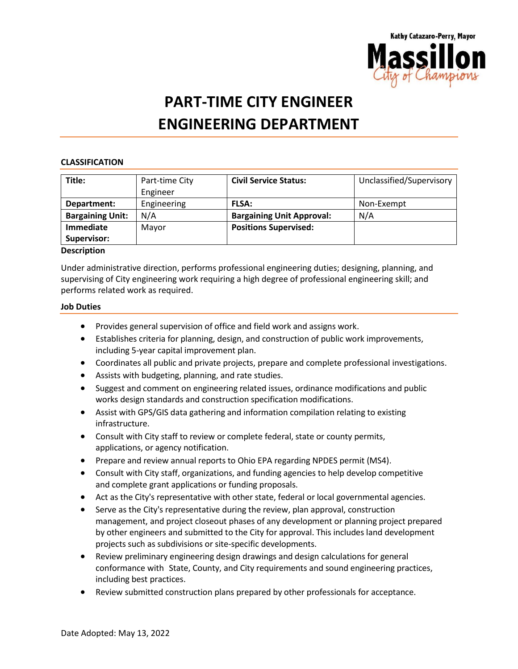

# **PART-TIME CITY ENGINEER ENGINEERING DEPARTMENT**

### **CLASSIFICATION**

| Title:                  | Part-time City | <b>Civil Service Status:</b>     | Unclassified/Supervisory |
|-------------------------|----------------|----------------------------------|--------------------------|
|                         | Engineer       |                                  |                          |
| Department:             | Engineering    | <b>FLSA:</b>                     | Non-Exempt               |
| <b>Bargaining Unit:</b> | N/A            | <b>Bargaining Unit Approval:</b> | N/A                      |
| Immediate               | Mayor          | <b>Positions Supervised:</b>     |                          |
| Supervisor:             |                |                                  |                          |

#### **Description**

Under administrative direction, performs professional engineering duties; designing, planning, and supervising of City engineering work requiring a high degree of professional engineering skill; and performs related work as required.

#### **Job Duties**

- Provides general supervision of office and field work and assigns work.
- Establishes criteria for planning, design, and construction of public work improvements, including 5-year capital improvement plan.
- Coordinates all public and private projects, prepare and complete professional investigations.
- Assists with budgeting, planning, and rate studies.
- Suggest and comment on engineering related issues, ordinance modifications and public works design standards and construction specification modifications.
- Assist with GPS/GIS data gathering and information compilation relating to existing infrastructure.
- Consult with City staff to review or complete federal, state or county permits, applications, or agency notification.
- Prepare and review annual reports to Ohio EPA regarding NPDES permit (MS4).
- Consult with City staff, organizations, and funding agencies to help develop competitive and complete grant applications or funding proposals.
- Act as the City's representative with other state, federal or local governmental agencies.
- Serve as the City's representative during the review, plan approval, construction management, and project closeout phases of any development or planning project prepared by other engineers and submitted to the City for approval. This includes land development projects such as subdivisions or site-specific developments.
- Review preliminary engineering design drawings and design calculations for general conformance with State, County, and City requirements and sound engineering practices, including best practices.
- Review submitted construction plans prepared by other professionals for acceptance.